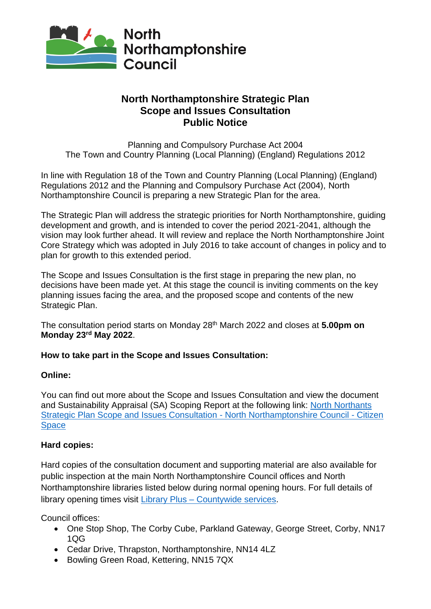

# **North Northamptonshire Strategic Plan Scope and Issues Consultation Public Notice**

Planning and Compulsory Purchase Act 2004 The Town and Country Planning (Local Planning) (England) Regulations 2012

In line with Regulation 18 of the Town and Country Planning (Local Planning) (England) Regulations 2012 and the Planning and Compulsory Purchase Act (2004), North Northamptonshire Council is preparing a new Strategic Plan for the area.

The Strategic Plan will address the strategic priorities for North Northamptonshire, guiding development and growth, and is intended to cover the period 2021-2041, although the vision may look further ahead. It will review and replace the North Northamptonshire Joint Core Strategy which was adopted in July 2016 to take account of changes in policy and to plan for growth to this extended period.

The Scope and Issues Consultation is the first stage in preparing the new plan, no decisions have been made yet. At this stage the council is inviting comments on the key planning issues facing the area, and the proposed scope and contents of the new Strategic Plan.

The consultation period starts on Monday 28th March 2022 and closes at **5.00pm on Monday 23rd May 2022**.

## **How to take part in the Scope and Issues Consultation:**

## **Online:**

You can find out more about the Scope and Issues Consultation and view the document and Sustainability Appraisal (SA) Scoping Report at the following link: [North Northants](https://northnorthants.citizenspace.com/planning/north-northants-strategic-plan-scope-and-issues-co)  [Strategic Plan Scope and Issues Consultation -](https://northnorthants.citizenspace.com/planning/north-northants-strategic-plan-scope-and-issues-co) North Northamptonshire Council - Citizen **[Space](https://northnorthants.citizenspace.com/planning/north-northants-strategic-plan-scope-and-issues-co)** 

## **Hard copies:**

Hard copies of the consultation document and supporting material are also available for public inspection at the main North Northamptonshire Council offices and North Northamptonshire libraries listed below during normal opening hours. For full details of library opening times visit Library Plus – [Countywide services.](https://www.northamptonshire.gov.uk/councilservices/library-service/Pages/default.aspx)

Council offices:

- One Stop Shop, The Corby Cube, Parkland Gateway, George Street, Corby, NN17 1QG
- Cedar Drive, Thrapston, Northamptonshire, NN14 4LZ
- Bowling Green Road, Kettering, NN15 7QX